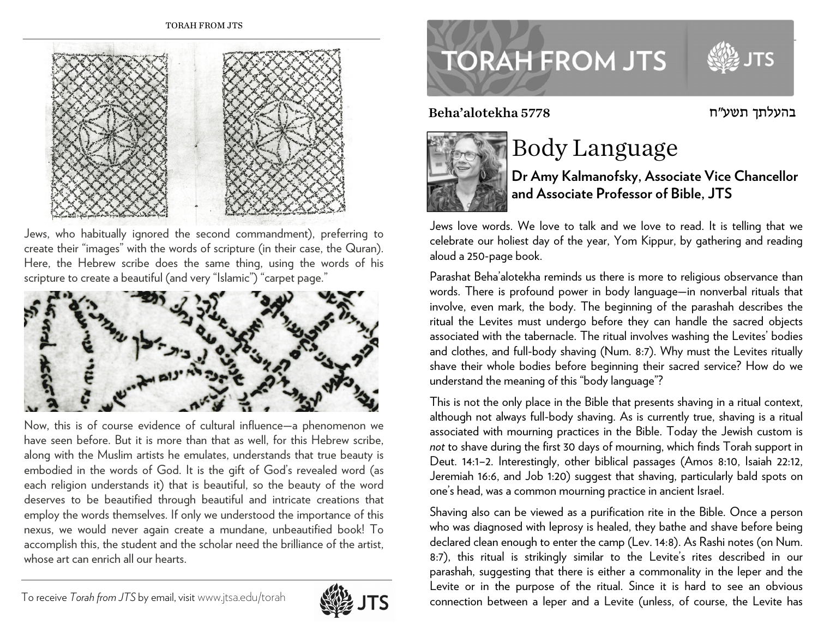

Jews, who habitually ignored the second commandment), preferring to create their "images" with the words of scripture (in their case, the Quran). Here, the Hebrew scribe does the same thing, using the words of his scripture to create a beautiful (and very "Islamic") "carpet page."



Now, this is of course evidence of cultural influence—a phenomenon we have seen before. But it is more than that as well, for this Hebrew scribe, along with the Muslim artists he emulates, understands that true beauty is embodied in the words of God. It is the gift of God's revealed word (as each religion understands it) that is beautiful, so the beauty of the word deserves to be beautified through beautiful and intricate creations that employ the words themselves. If only we understood the importance of this nexus, we would never again create a mundane, unbeautified book! To accomplish this, the student and the scholar need the brilliance of the artist, whose art can enrich all our hearts.





בהעלתך תשע"ח 5778 alotekha'Beha



## Body Language

**Dr Amy Kalmanofsky, Associate Vice Chancellor and Associate Professor of Bible, JTS** 

Jews love words. We love to talk and we love to read. It is telling that we celebrate our holiest day of the year, Yom Kippur, by gathering and reading aloud a 250-page book.

Parashat Beha'alotekha reminds us there is more to religious observance than words. There is profound power in body language—in nonverbal rituals that involve, even mark, the body. The beginning of the parashah describes the ritual the Levites must undergo before they can handle the sacred objects associated with the tabernacle. The ritual involves washing the Levites' bodies and clothes, and full-body shaving (Num. 8:7). Why must the Levites ritually shave their whole bodies before beginning their sacred service? How do we understand the meaning of this "body language"?

This is not the only place in the Bible that presents shaving in a ritual context, although not always full-body shaving. As is currently true, shaving is a ritual associated with mourning practices in the Bible. Today the Jewish custom is *not* to shave during the first 30 days of mourning, which finds Torah support in Deut. 14:1–2. Interestingly, other biblical passages (Amos 8:10, Isaiah 22:12, Jeremiah 16:6, and Job 1:20) suggest that shaving, particularly bald spots on one's head, was a common mourning practice in ancient Israel.

Shaving also can be viewed as a purification rite in the Bible. Once a person who was diagnosed with leprosy is healed, they bathe and shave before being declared clean enough to enter the camp (Lev. 14:8). As Rashi notes (on Num. 8:7), this ritual is strikingly similar to the Levite's rites described in our parashah, suggesting that there is either a commonality in the leper and the Levite or in the purpose of the ritual. Since it is hard to see an obvious connection between a leper and a Levite (unless, of course, the Levite has